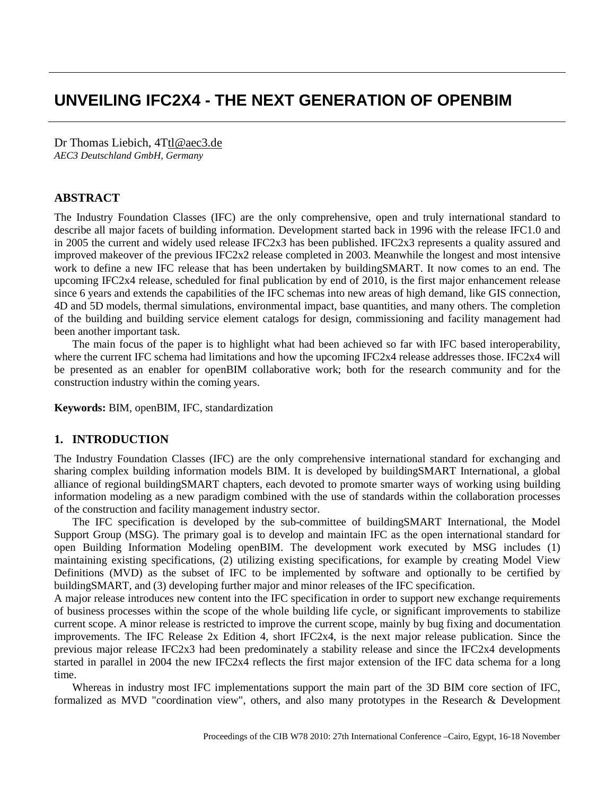# **UNVEILING IFC2X4 - THE NEXT GENERATION OF OPENBIM**

Dr Thomas Liebich, [4Ttl@aec3.de](mailto:tl@aec3.de) *AEC3 Deutschland GmbH, Germany*

## **ABSTRACT**

The Industry Foundation Classes (IFC) are the only comprehensive, open and truly international standard to describe all major facets of building information. Development started back in 1996 with the release IFC1.0 and in 2005 the current and widely used release IFC2x3 has been published. IFC2x3 represents a quality assured and improved makeover of the previous IFC2x2 release completed in 2003. Meanwhile the longest and most intensive work to define a new IFC release that has been undertaken by buildingSMART. It now comes to an end. The upcoming IFC2x4 release, scheduled for final publication by end of 2010, is the first major enhancement release since 6 years and extends the capabilities of the IFC schemas into new areas of high demand, like GIS connection, 4D and 5D models, thermal simulations, environmental impact, base quantities, and many others. The completion of the building and building service element catalogs for design, commissioning and facility management had been another important task.

The main focus of the paper is to highlight what had been achieved so far with IFC based interoperability, where the current IFC schema had limitations and how the upcoming IFC2x4 release addresses those. IFC2x4 will be presented as an enabler for openBIM collaborative work; both for the research community and for the construction industry within the coming years.

**Keywords:** BIM, openBIM, IFC, standardization

# **1. INTRODUCTION**

The Industry Foundation Classes (IFC) are the only comprehensive international standard for exchanging and sharing complex building information models BIM. It is developed by buildingSMART International, a global alliance of regional buildingSMART chapters, each devoted to promote smarter ways of working using building information modeling as a new paradigm combined with the use of standards within the collaboration processes of the construction and facility management industry sector.

The IFC specification is developed by the sub-committee of buildingSMART International, the Model Support Group (MSG). The primary goal is to develop and maintain IFC as the open international standard for open Building Information Modeling openBIM. The development work executed by MSG includes (1) maintaining existing specifications, (2) utilizing existing specifications, for example by creating Model View Definitions (MVD) as the subset of IFC to be implemented by software and optionally to be certified by buildingSMART, and (3) developing further major and minor releases of the IFC specification.

A major release introduces new content into the IFC specification in order to support new exchange requirements of business processes within the scope of the whole building life cycle, or significant improvements to stabilize current scope. A minor release is restricted to improve the current scope, mainly by bug fixing and documentation improvements. The IFC Release 2x Edition 4, short IFC2x4, is the next major release publication. Since the previous major release IFC2x3 had been predominately a stability release and since the IFC2x4 developments started in parallel in 2004 the new IFC2x4 reflects the first major extension of the IFC data schema for a long time.

Whereas in industry most IFC implementations support the main part of the 3D BIM core section of IFC, formalized as MVD "coordination view", others, and also many prototypes in the Research & Development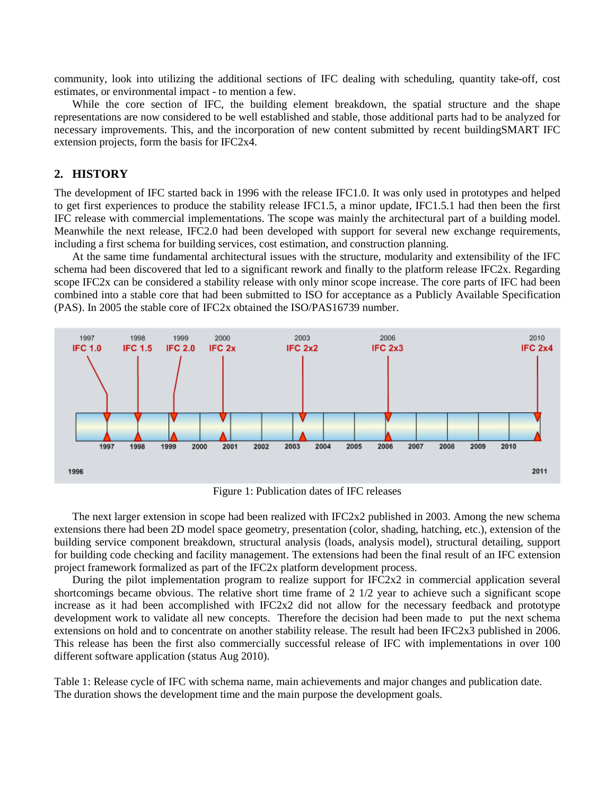community, look into utilizing the additional sections of IFC dealing with scheduling, quantity take-off, cost estimates, or environmental impact - to mention a few.

While the core section of IFC, the building element breakdown, the spatial structure and the shape representations are now considered to be well established and stable, those additional parts had to be analyzed for necessary improvements. This, and the incorporation of new content submitted by recent buildingSMART IFC extension projects, form the basis for IFC2x4.

## **2. HISTORY**

The development of IFC started back in 1996 with the release IFC1.0. It was only used in prototypes and helped to get first experiences to produce the stability release IFC1.5, a minor update, IFC1.5.1 had then been the first IFC release with commercial implementations. The scope was mainly the architectural part of a building model. Meanwhile the next release, IFC2.0 had been developed with support for several new exchange requirements, including a first schema for building services, cost estimation, and construction planning.

At the same time fundamental architectural issues with the structure, modularity and extensibility of the IFC schema had been discovered that led to a significant rework and finally to the platform release IFC2x. Regarding scope IFC2x can be considered a stability release with only minor scope increase. The core parts of IFC had been combined into a stable core that had been submitted to ISO for acceptance as a Publicly Available Specification (PAS). In 2005 the stable core of IFC2x obtained the ISO/PAS16739 number.



Figure 1: Publication dates of IFC releases

The next larger extension in scope had been realized with IFC2x2 published in 2003. Among the new schema extensions there had been 2D model space geometry, presentation (color, shading, hatching, etc.), extension of the building service component breakdown, structural analysis (loads, analysis model), structural detailing, support for building code checking and facility management. The extensions had been the final result of an IFC extension project framework formalized as part of the IFC2x platform development process.

During the pilot implementation program to realize support for IFC2x2 in commercial application several shortcomings became obvious. The relative short time frame of 2 1/2 year to achieve such a significant scope increase as it had been accomplished with IFC2x2 did not allow for the necessary feedback and prototype development work to validate all new concepts. Therefore the decision had been made to put the next schema extensions on hold and to concentrate on another stability release. The result had been IFC2x3 published in 2006. This release has been the first also commercially successful release of IFC with implementations in over 100 different software application (status Aug 2010).

<span id="page-1-0"></span>Table 1: Release cycle of IFC with schema name, main achievements and major changes and publication date. The duration shows the development time and the main purpose the development goals.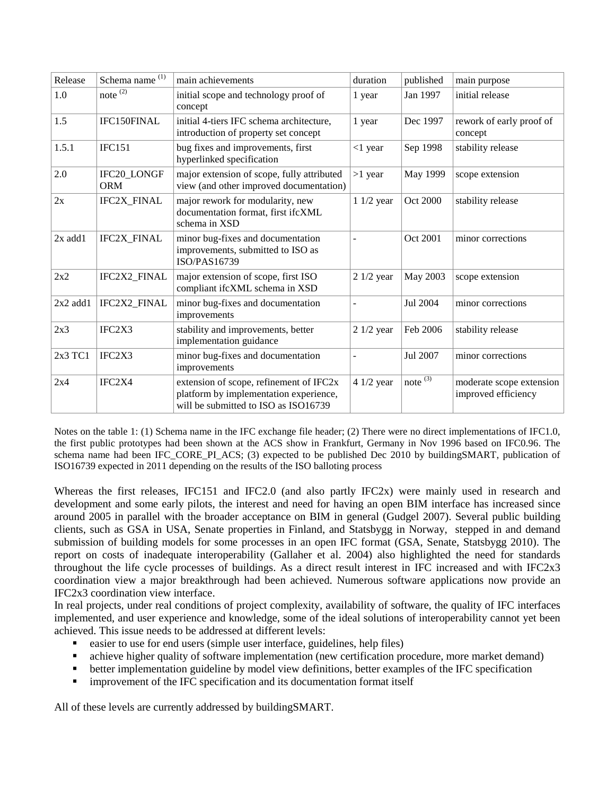| Release       | Schema name <sup>(1)</sup> | main achievements                                                                                                         | duration    | published           | main purpose                                    |
|---------------|----------------------------|---------------------------------------------------------------------------------------------------------------------------|-------------|---------------------|-------------------------------------------------|
| 1.0           | note $\overline{^{(2)}}$   | initial scope and technology proof of<br>concept                                                                          | 1 year      | Jan 1997            | initial release                                 |
| 1.5           | IFC150FINAL                | initial 4-tiers IFC schema architecture,<br>introduction of property set concept                                          | 1 year      | Dec 1997            | rework of early proof of<br>concept             |
| 1.5.1         | <b>IFC151</b>              | bug fixes and improvements, first<br>hyperlinked specification                                                            | $<1$ year   | Sep 1998            | stability release                               |
| 2.0           | IFC20_LONGF<br><b>ORM</b>  | major extension of scope, fully attributed<br>view (and other improved documentation)                                     | $>1$ year   | May 1999            | scope extension                                 |
| 2x            | IFC2X_FINAL                | major rework for modularity, new<br>documentation format, first ifcXML<br>schema in XSD                                   | $11/2$ year | Oct 2000            | stability release                               |
| $2x$ add $1$  | IFC2X_FINAL                | minor bug-fixes and documentation<br>improvements, submitted to ISO as<br>ISO/PAS16739                                    |             | Oct 2001            | minor corrections                               |
| 2x2           | IFC2X2_FINAL               | major extension of scope, first ISO<br>compliant if cXML schema in XSD                                                    | $21/2$ year | May 2003            | scope extension                                 |
| $2x2$ add $1$ | IFC2X2_FINAL               | minor bug-fixes and documentation<br>improvements                                                                         |             | Jul 2004            | minor corrections                               |
| 2x3           | IFC2X3                     | stability and improvements, better<br>implementation guidance                                                             | $21/2$ year | Feb 2006            | stability release                               |
| 2x3 TC1       | IFC2X3                     | minor bug-fixes and documentation<br>improvements                                                                         |             | Jul 2007            | minor corrections                               |
| 2x4           | IFC2X4                     | extension of scope, refinement of IFC2x<br>platform by implementation experience,<br>will be submitted to ISO as ISO16739 | $41/2$ year | note $\overline{3}$ | moderate scope extension<br>improved efficiency |

Notes on the [table](#page-1-0) 1: (1) Schema name in the IFC exchange file header; (2) There were no direct implementations of IFC1.0, the first public prototypes had been shown at the ACS show in Frankfurt, Germany in Nov 1996 based on IFC0.96. The schema name had been IFC\_CORE\_PI\_ACS; (3) expected to be published Dec 2010 by buildingSMART, publication of ISO16739 expected in 2011 depending on the results of the ISO balloting process

Whereas the first releases, IFC151 and IFC2.0 (and also partly IFC2x) were mainly used in research and development and some early pilots, the interest and need for having an open BIM interface has increased since around 2005 in parallel with the broader acceptance on BIM in general (Gudgel 2007). Several public building clients, such as GSA in USA, Senate properties in Finland, and Statsbygg in Norway, stepped in and demand submission of building models for some processes in an open IFC format (GSA, Senate, Statsbygg 2010). The report on costs of inadequate interoperability (Gallaher et al. 2004) also highlighted the need for standards throughout the life cycle processes of buildings. As a direct result interest in IFC increased and with IFC2x3 coordination view a major breakthrough had been achieved. Numerous software applications now provide an IFC2x3 coordination view interface.

In real projects, under real conditions of project complexity, availability of software, the quality of IFC interfaces implemented, and user experience and knowledge, some of the ideal solutions of interoperability cannot yet been achieved. This issue needs to be addressed at different levels:

- easier to use for end users (simple user interface, guidelines, help files)
- achieve higher quality of software implementation (new certification procedure, more market demand)
- better implementation guideline by model view definitions, better examples of the IFC specification
- **Influentation in the IFC** specification and its documentation format itself

All of these levels are currently addressed by buildingSMART.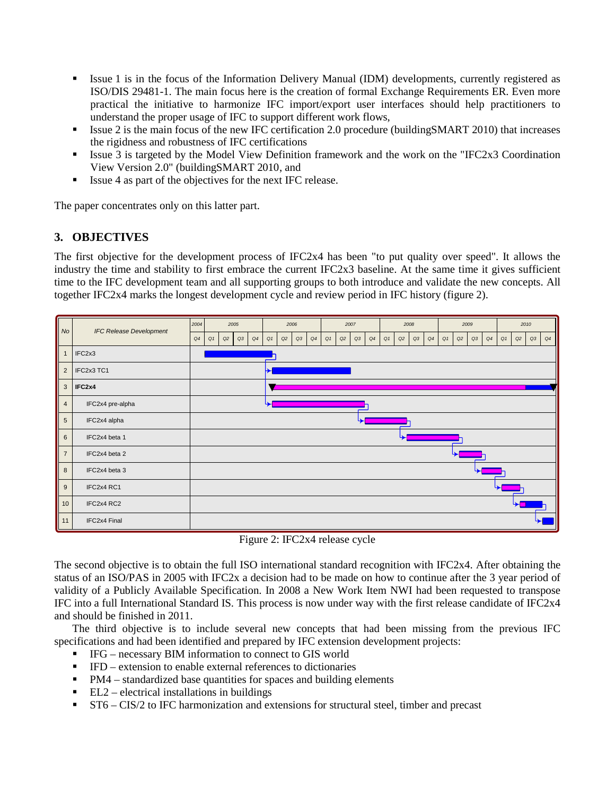- Issue 1 is in the focus of the Information Delivery Manual (IDM) developments, currently registered as ISO/DIS 29481-1. The main focus here is the creation of formal Exchange Requirements ER. Even more practical the initiative to harmonize IFC import/export user interfaces should help practitioners to understand the proper usage of IFC to support different work flows,
- Issue 2 is the main focus of the new IFC certification 2.0 procedure (buildingSMART 2010) that increases the rigidness and robustness of IFC certifications
- Issue 3 is targeted by the Model View Definition framework and the work on the "IFC2x3 Coordination View Version 2.0" (buildingSMART 2010, and
- Issue 4 as part of the objectives for the next IFC release.

The paper concentrates only on this latter part.

# **3. OBJECTIVES**

The first objective for the development process of IFC2x4 has been "to put quality over speed". It allows the industry the time and stability to first embrace the current IFC2x3 baseline. At the same time it gives sufficient time to the IFC development team and all supporting groups to both introduce and validate the new concepts. All together IFC2x4 marks the longest development cycle and review period in IFC history [\(figure 2\)](#page-3-0).

| $\vert$ No $\vert$ | <b>IFC Release Development</b> | 2004<br>2005 |    |    |    | 2006 |    |    |    | 2007 |    |    |    | 2008 |    |    |    | 2009 |    |    |    | 2010 |    |      |    |               |
|--------------------|--------------------------------|--------------|----|----|----|------|----|----|----|------|----|----|----|------|----|----|----|------|----|----|----|------|----|------|----|---------------|
|                    |                                | Q4           | Q1 | Q2 | Q3 | Q4   | Q1 | Q2 | Q3 | Q4   | Q1 | Q2 | Q3 | Q4   | Q1 | Q2 | Q3 | Q4   | Q1 | Q2 | Q3 | Q4   | Q1 | $Q2$ | Q3 | $\mathsf{Q4}$ |
| $\overline{1}$     | IFC <sub>2x3</sub>             |              |    |    |    |      |    |    |    |      |    |    |    |      |    |    |    |      |    |    |    |      |    |      |    |               |
|                    | 2   IFC2x3 TC1                 |              |    |    |    |      |    |    |    |      |    |    |    |      |    |    |    |      |    |    |    |      |    |      |    |               |
|                    | $3$   IFC2x4                   |              |    |    |    |      |    |    |    |      |    |    |    |      |    |    |    |      |    |    |    |      |    |      |    |               |
| $\overline{4}$     | IFC2x4 pre-alpha               |              |    |    |    |      |    |    |    |      |    |    |    |      |    |    |    |      |    |    |    |      |    |      |    |               |
| $5\overline{)}$    | IFC2x4 alpha                   |              |    |    |    |      |    |    |    |      |    |    |    |      |    |    |    |      |    |    |    |      |    |      |    |               |
| 6                  | IFC2x4 beta 1                  |              |    |    |    |      |    |    |    |      |    |    |    |      |    |    |    |      |    |    |    |      |    |      |    |               |
| $\overline{7}$     | IFC2x4 beta 2                  |              |    |    |    |      |    |    |    |      |    |    |    |      |    |    |    |      |    |    |    |      |    |      |    |               |
| 8                  | IFC2x4 beta 3                  |              |    |    |    |      |    |    |    |      |    |    |    |      |    |    |    |      |    |    |    |      |    |      |    |               |
| 9                  | IFC2x4 RC1                     |              |    |    |    |      |    |    |    |      |    |    |    |      |    |    |    |      |    |    |    |      |    |      |    |               |
| 10                 | IFC2x4 RC2                     |              |    |    |    |      |    |    |    |      |    |    |    |      |    |    |    |      |    |    |    |      |    |      |    |               |
| $\parallel$ 11     | IFC2x4 Final                   |              |    |    |    |      |    |    |    |      |    |    |    |      |    |    |    |      |    |    |    |      |    |      |    |               |

Figure 2: IFC2x4 release cycle

<span id="page-3-0"></span>The second objective is to obtain the full ISO international standard recognition with IFC2x4. After obtaining the status of an ISO/PAS in 2005 with IFC2x a decision had to be made on how to continue after the 3 year period of validity of a Publicly Available Specification. In 2008 a New Work Item NWI had been requested to transpose IFC into a full International Standard IS. This process is now under way with the first release candidate of IFC2x4 and should be finished in 2011.

The third objective is to include several new concepts that had been missing from the previous IFC specifications and had been identified and prepared by IFC extension development projects:

- IFG necessary BIM information to connect to GIS world
- $\blacksquare$  IFD extension to enable external references to dictionaries
- PM4 standardized base quantities for spaces and building elements
- $\blacksquare$  EL2 electrical installations in buildings
- ST6 CIS/2 to IFC harmonization and extensions for structural steel, timber and precast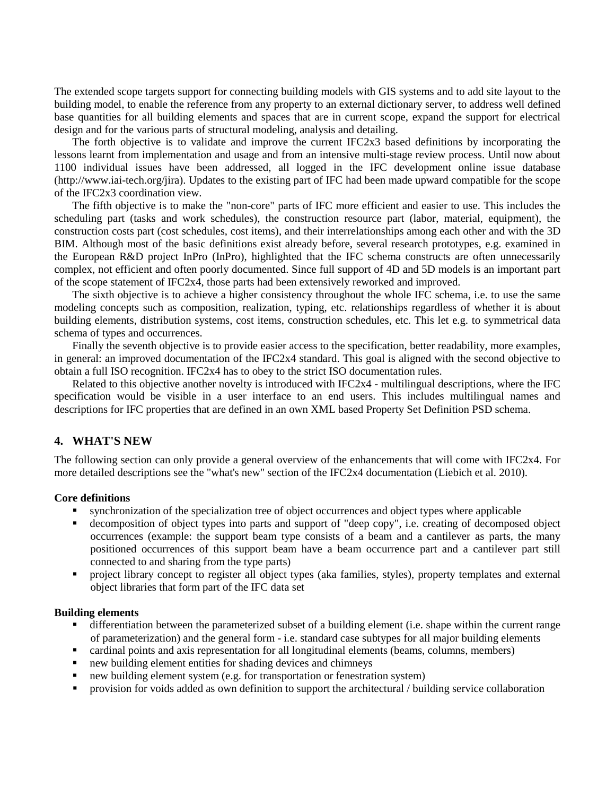The extended scope targets support for connecting building models with GIS systems and to add site layout to the building model, to enable the reference from any property to an external dictionary server, to address well defined base quantities for all building elements and spaces that are in current scope, expand the support for electrical design and for the various parts of structural modeling, analysis and detailing.

The forth objective is to validate and improve the current IFC2x3 based definitions by incorporating the lessons learnt from implementation and usage and from an intensive multi-stage review process. Until now about 1100 individual issues have been addressed, all logged in the IFC development online issue database (http://www.iai-tech.org/jira). Updates to the existing part of IFC had been made upward compatible for the scope of the IFC2x3 coordination view.

The fifth objective is to make the "non-core" parts of IFC more efficient and easier to use. This includes the scheduling part (tasks and work schedules), the construction resource part (labor, material, equipment), the construction costs part (cost schedules, cost items), and their interrelationships among each other and with the 3D BIM. Although most of the basic definitions exist already before, several research prototypes, e.g. examined in the European R&D project InPro (InPro), highlighted that the IFC schema constructs are often unnecessarily complex, not efficient and often poorly documented. Since full support of 4D and 5D models is an important part of the scope statement of IFC2x4, those parts had been extensively reworked and improved.

The sixth objective is to achieve a higher consistency throughout the whole IFC schema, i.e. to use the same modeling concepts such as composition, realization, typing, etc. relationships regardless of whether it is about building elements, distribution systems, cost items, construction schedules, etc. This let e.g. to symmetrical data schema of types and occurrences.

Finally the seventh objective is to provide easier access to the specification, better readability, more examples, in general: an improved documentation of the IFC2x4 standard. This goal is aligned with the second objective to obtain a full ISO recognition. IFC2x4 has to obey to the strict ISO documentation rules.

Related to this objective another novelty is introduced with IFC2x4 - multilingual descriptions, where the IFC specification would be visible in a user interface to an end users. This includes multilingual names and descriptions for IFC properties that are defined in an own XML based Property Set Definition PSD schema.

# **4. WHAT'S NEW**

The following section can only provide a general overview of the enhancements that will come with IFC2x4. For more detailed descriptions see the "what's new" section of the IFC2x4 documentation (Liebich et al. 2010).

#### **Core definitions**

- synchronization of the specialization tree of object occurrences and object types where applicable
- decomposition of object types into parts and support of "deep copy", i.e. creating of decomposed object occurrences (example: the support beam type consists of a beam and a cantilever as parts, the many positioned occurrences of this support beam have a beam occurrence part and a cantilever part still connected to and sharing from the type parts)
- project library concept to register all object types (aka families, styles), property templates and external object libraries that form part of the IFC data set

#### **Building elements**

- differentiation between the parameterized subset of a building element (i.e. shape within the current range of parameterization) and the general form - i.e. standard case subtypes for all major building elements
- cardinal points and axis representation for all longitudinal elements (beams, columns, members)
- new building element entities for shading devices and chimneys
- new building element system (e.g. for transportation or fenestration system)
- provision for voids added as own definition to support the architectural / building service collaboration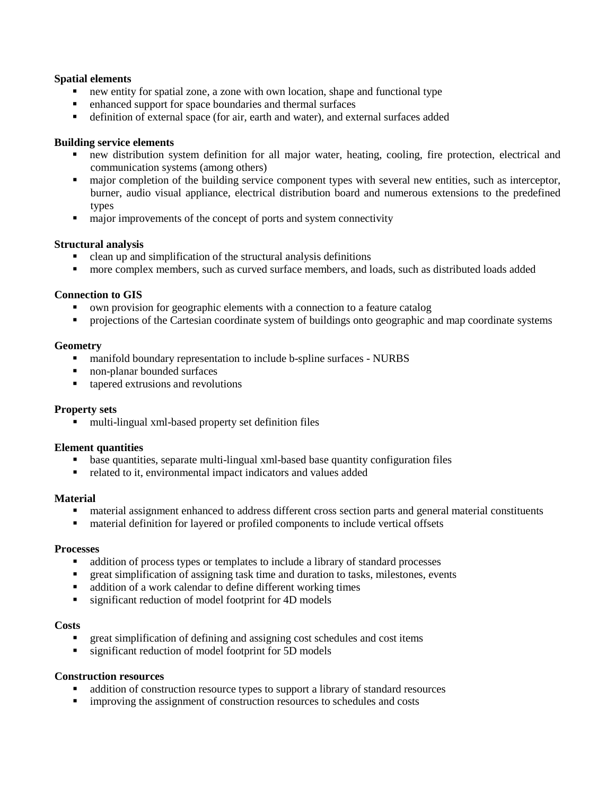## **Spatial elements**

- new entity for spatial zone, a zone with own location, shape and functional type
- enhanced support for space boundaries and thermal surfaces
- definition of external space (for air, earth and water), and external surfaces added

# **Building service elements**

- new distribution system definition for all major water, heating, cooling, fire protection, electrical and communication systems (among others)
- major completion of the building service component types with several new entities, such as interceptor, burner, audio visual appliance, electrical distribution board and numerous extensions to the predefined types
- $\blacksquare$  major improvements of the concept of ports and system connectivity

### **Structural analysis**

- clean up and simplification of the structural analysis definitions
- more complex members, such as curved surface members, and loads, such as distributed loads added

# **Connection to GIS**

- own provision for geographic elements with a connection to a feature catalog
- **•** projections of the Cartesian coordinate system of buildings onto geographic and map coordinate systems

### **Geometry**

- manifold boundary representation to include b-spline surfaces NURBS
- non-planar bounded surfaces
- $\blacksquare$  tapered extrusions and revolutions

#### **Property sets**

multi-lingual xml-based property set definition files

#### **Element quantities**

- base quantities, separate multi-lingual xml-based base quantity configuration files
- related to it, environmental impact indicators and values added

#### **Material**

- material assignment enhanced to address different cross section parts and general material constituents
- material definition for layered or profiled components to include vertical offsets

#### **Processes**

- addition of process types or templates to include a library of standard processes
- great simplification of assigning task time and duration to tasks, milestones, events
- addition of a work calendar to define different working times
- significant reduction of model footprint for 4D models

#### **Costs**

- great simplification of defining and assigning cost schedules and cost items
- **s** significant reduction of model footprint for 5D models

#### **Construction resources**

- addition of construction resource types to support a library of standard resources
- **improving the assignment of construction resources to schedules and costs**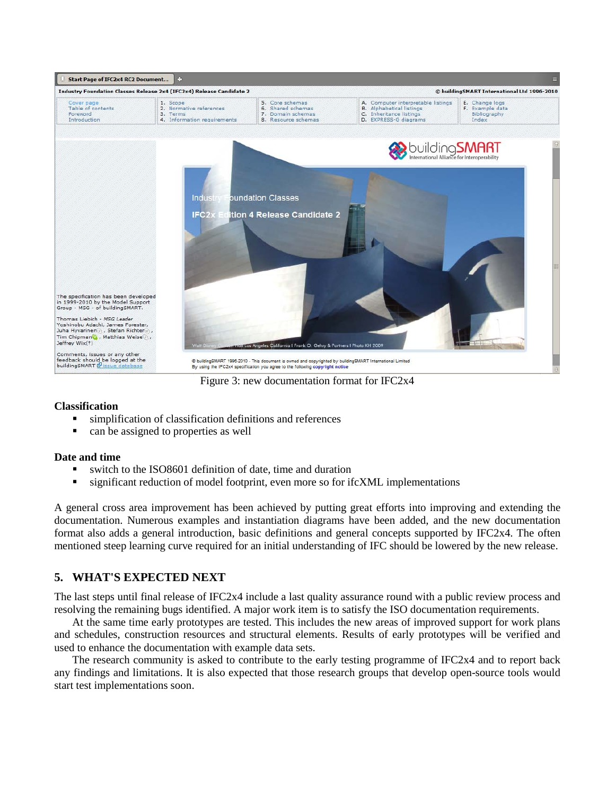

Figure 3: new documentation format for IFC2x4

# **Classification**

- simplification of classification definitions and references
- can be assigned to properties as well

#### **Date and time**

- switch to the ISO8601 definition of date, time and duration
- significant reduction of model footprint, even more so for ifcXML implementations

A general cross area improvement has been achieved by putting great efforts into improving and extending the documentation. Numerous examples and instantiation diagrams have been added, and the new documentation format also adds a general introduction, basic definitions and general concepts supported by IFC2x4. The often mentioned steep learning curve required for an initial understanding of IFC should be lowered by the new release.

# **5. WHAT'S EXPECTED NEXT**

The last steps until final release of IFC2x4 include a last quality assurance round with a public review process and resolving the remaining bugs identified. A major work item is to satisfy the ISO documentation requirements.

At the same time early prototypes are tested. This includes the new areas of improved support for work plans and schedules, construction resources and structural elements. Results of early prototypes will be verified and used to enhance the documentation with example data sets.

The research community is asked to contribute to the early testing programme of IFC2x4 and to report back any findings and limitations. It is also expected that those research groups that develop open-source tools would start test implementations soon.